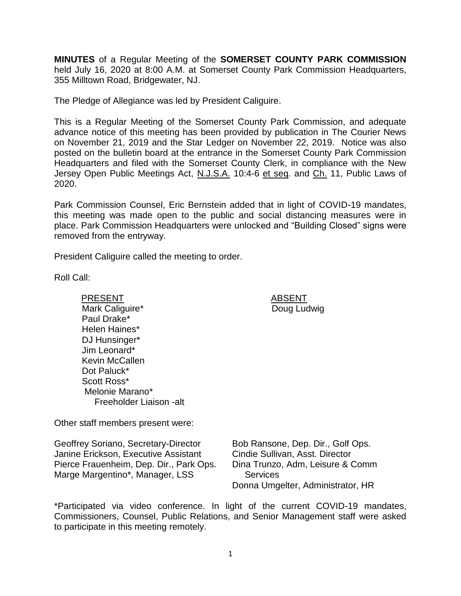**MINUTES** of a Regular Meeting of the **SOMERSET COUNTY PARK COMMISSION** held July 16, 2020 at 8:00 A.M. at Somerset County Park Commission Headquarters, 355 Milltown Road, Bridgewater, NJ.

The Pledge of Allegiance was led by President Caliguire.

This is a Regular Meeting of the Somerset County Park Commission, and adequate advance notice of this meeting has been provided by publication in The Courier News on November 21, 2019 and the Star Ledger on November 22, 2019. Notice was also posted on the bulletin board at the entrance in the Somerset County Park Commission Headquarters and filed with the Somerset County Clerk, in compliance with the New Jersey Open Public Meetings Act, N.J.S.A. 10:4-6 et seq. and Ch. 11, Public Laws of 2020.

Park Commission Counsel, Eric Bernstein added that in light of COVID-19 mandates, this meeting was made open to the public and social distancing measures were in place. Park Commission Headquarters were unlocked and "Building Closed" signs were removed from the entryway.

President Caliguire called the meeting to order.

Roll Call:

PRESENT ABSENT Mark Caliguire\* Paul Drake\* Helen Haines\* DJ Hunsinger\* Jim Leonard\* Kevin McCallen Dot Paluck\* Scott Ross\* Melonie Marano\* Freeholder Liaison -alt

Other staff members present were:

Geoffrey Soriano, Secretary-Director Janine Erickson, Executive Assistant Pierce Frauenheim, Dep. Dir., Park Ops. Marge Margentino\*, Manager, LSS

Bob Ransone, Dep. Dir., Golf Ops. Cindie Sullivan, Asst. Director Dina Trunzo, Adm, Leisure & Comm **Services** Donna Umgelter, Administrator, HR

\*Participated via video conference. In light of the current COVID-19 mandates, Commissioners, Counsel, Public Relations, and Senior Management staff were asked to participate in this meeting remotely.

Doug Ludwig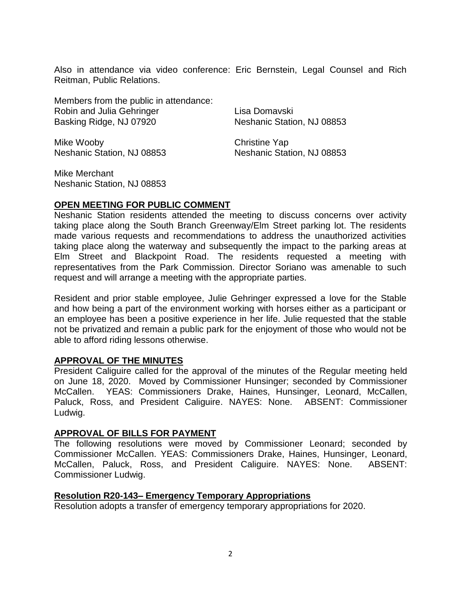Also in attendance via video conference: Eric Bernstein, Legal Counsel and Rich Reitman, Public Relations.

Members from the public in attendance: Robin and Julia Gehringer Basking Ridge, NJ 07920

Mike Wooby Neshanic Station, NJ 08853 Lisa Domavski Neshanic Station, NJ 08853

Christine Yap Neshanic Station, NJ 08853

Mike Merchant Neshanic Station, NJ 08853

# **OPEN MEETING FOR PUBLIC COMMENT**

Neshanic Station residents attended the meeting to discuss concerns over activity taking place along the South Branch Greenway/Elm Street parking lot. The residents made various requests and recommendations to address the unauthorized activities taking place along the waterway and subsequently the impact to the parking areas at Elm Street and Blackpoint Road. The residents requested a meeting with representatives from the Park Commission. Director Soriano was amenable to such request and will arrange a meeting with the appropriate parties.

Resident and prior stable employee, Julie Gehringer expressed a love for the Stable and how being a part of the environment working with horses either as a participant or an employee has been a positive experience in her life. Julie requested that the stable not be privatized and remain a public park for the enjoyment of those who would not be able to afford riding lessons otherwise.

# **APPROVAL OF THE MINUTES**

President Caliguire called for the approval of the minutes of the Regular meeting held on June 18, 2020. Moved by Commissioner Hunsinger; seconded by Commissioner McCallen. YEAS: Commissioners Drake, Haines, Hunsinger, Leonard, McCallen, Paluck, Ross, and President Caliguire. NAYES: None. ABSENT: Commissioner Ludwig.

### **APPROVAL OF BILLS FOR PAYMENT**

The following resolutions were moved by Commissioner Leonard; seconded by Commissioner McCallen. YEAS: Commissioners Drake, Haines, Hunsinger, Leonard, McCallen, Paluck, Ross, and President Caliguire. NAYES: None. ABSENT: Commissioner Ludwig.

### **Resolution R20-143– Emergency Temporary Appropriations**

Resolution adopts a transfer of emergency temporary appropriations for 2020.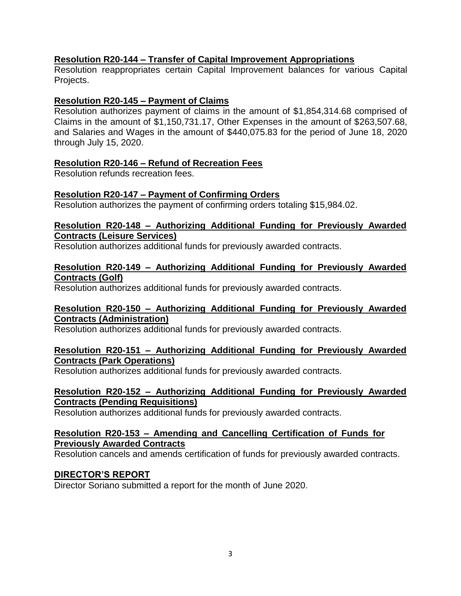### **Resolution R20-144 – Transfer of Capital Improvement Appropriations**

Resolution reappropriates certain Capital Improvement balances for various Capital Projects.

### **Resolution R20-145 – Payment of Claims**

Resolution authorizes payment of claims in the amount of \$1,854,314.68 comprised of Claims in the amount of \$1,150,731.17, Other Expenses in the amount of \$263,507.68, and Salaries and Wages in the amount of \$440,075.83 for the period of June 18, 2020 through July 15, 2020.

### **Resolution R20-146 – Refund of Recreation Fees**

Resolution refunds recreation fees.

# **Resolution R20-147 – Payment of Confirming Orders**

Resolution authorizes the payment of confirming orders totaling \$15,984.02.

### **Resolution R20-148 – Authorizing Additional Funding for Previously Awarded Contracts (Leisure Services)**

Resolution authorizes additional funds for previously awarded contracts.

#### **Resolution R20-149 – Authorizing Additional Funding for Previously Awarded Contracts (Golf)**

Resolution authorizes additional funds for previously awarded contracts.

### **Resolution R20-150 – Authorizing Additional Funding for Previously Awarded Contracts (Administration)**

Resolution authorizes additional funds for previously awarded contracts.

### **Resolution R20-151 – Authorizing Additional Funding for Previously Awarded Contracts (Park Operations)**

Resolution authorizes additional funds for previously awarded contracts.

#### **Resolution R20-152 – Authorizing Additional Funding for Previously Awarded Contracts (Pending Requisitions)**

Resolution authorizes additional funds for previously awarded contracts.

### **Resolution R20-153 – Amending and Cancelling Certification of Funds for Previously Awarded Contracts**

Resolution cancels and amends certification of funds for previously awarded contracts.

# **DIRECTOR'S REPORT**

Director Soriano submitted a report for the month of June 2020.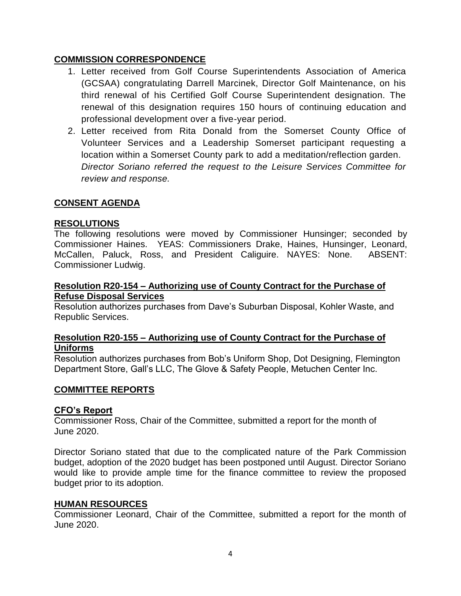## **COMMISSION CORRESPONDENCE**

- 1. Letter received from Golf Course Superintendents Association of America (GCSAA) congratulating Darrell Marcinek, Director Golf Maintenance, on his third renewal of his Certified Golf Course Superintendent designation. The renewal of this designation requires 150 hours of continuing education and professional development over a five-year period.
- 2. Letter received from Rita Donald from the Somerset County Office of Volunteer Services and a Leadership Somerset participant requesting a location within a Somerset County park to add a meditation/reflection garden. *Director Soriano referred the request to the Leisure Services Committee for review and response.*

### **CONSENT AGENDA**

### **RESOLUTIONS**

The following resolutions were moved by Commissioner Hunsinger; seconded by Commissioner Haines. YEAS: Commissioners Drake, Haines, Hunsinger, Leonard, McCallen, Paluck, Ross, and President Caliguire. NAYES: None. ABSENT: Commissioner Ludwig.

#### **Resolution R20-154 – Authorizing use of County Contract for the Purchase of Refuse Disposal Services**

Resolution authorizes purchases from Dave's Suburban Disposal, Kohler Waste, and Republic Services.

### **Resolution R20-155 – Authorizing use of County Contract for the Purchase of Uniforms**

Resolution authorizes purchases from Bob's Uniform Shop, Dot Designing, Flemington Department Store, Gall's LLC, The Glove & Safety People, Metuchen Center Inc.

### **COMMITTEE REPORTS**

### **CFO's Report**

Commissioner Ross, Chair of the Committee, submitted a report for the month of June 2020.

Director Soriano stated that due to the complicated nature of the Park Commission budget, adoption of the 2020 budget has been postponed until August. Director Soriano would like to provide ample time for the finance committee to review the proposed budget prior to its adoption.

#### **HUMAN RESOURCES**

Commissioner Leonard, Chair of the Committee, submitted a report for the month of June 2020.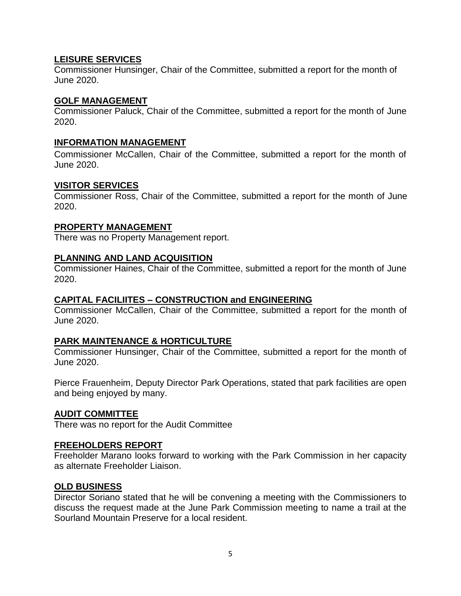### **LEISURE SERVICES**

Commissioner Hunsinger, Chair of the Committee, submitted a report for the month of June 2020.

### **GOLF MANAGEMENT**

Commissioner Paluck, Chair of the Committee, submitted a report for the month of June 2020.

## **INFORMATION MANAGEMENT**

Commissioner McCallen, Chair of the Committee, submitted a report for the month of June 2020.

### **VISITOR SERVICES**

Commissioner Ross, Chair of the Committee, submitted a report for the month of June 2020.

### **PROPERTY MANAGEMENT**

There was no Property Management report.

### **PLANNING AND LAND ACQUISITION**

Commissioner Haines, Chair of the Committee, submitted a report for the month of June 2020.

### **CAPITAL FACILIITES – CONSTRUCTION and ENGINEERING**

Commissioner McCallen, Chair of the Committee, submitted a report for the month of June 2020.

### **PARK MAINTENANCE & HORTICULTURE**

Commissioner Hunsinger, Chair of the Committee, submitted a report for the month of June 2020.

Pierce Frauenheim, Deputy Director Park Operations, stated that park facilities are open and being enjoyed by many.

### **AUDIT COMMITTEE**

There was no report for the Audit Committee

### **FREEHOLDERS REPORT**

Freeholder Marano looks forward to working with the Park Commission in her capacity as alternate Freeholder Liaison.

### **OLD BUSINESS**

Director Soriano stated that he will be convening a meeting with the Commissioners to discuss the request made at the June Park Commission meeting to name a trail at the Sourland Mountain Preserve for a local resident.